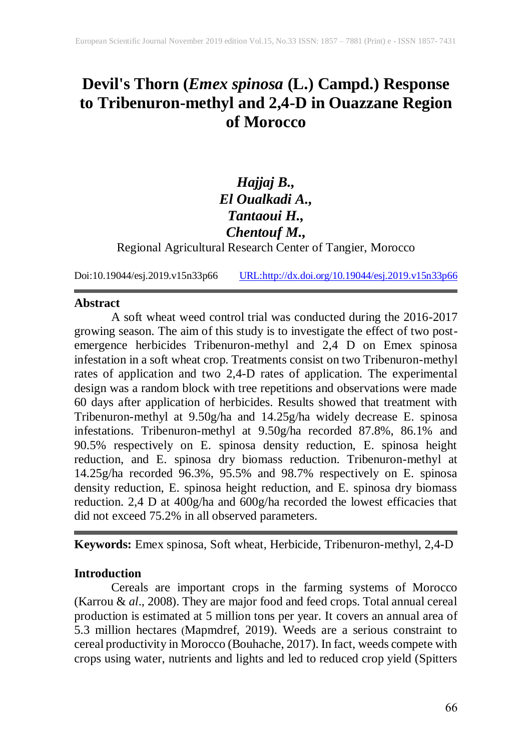# **Devil's Thorn (***Emex spinosa* **(L.) Campd.) Response to Tribenuron-methyl and 2,4-D in Ouazzane Region of Morocco**

## *Hajjaj B., El Oualkadi A., Tantaoui H., Chentouf M.,*

Regional Agricultural Research Center of Tangier, Morocco

Doi:10.19044/esj.2019.v15n33p66 [URL:http://dx.doi.org/10.19044/esj.2019.v15n33p6](http://dx.doi.org/10.19044/esj.2019.v15n33p3)6

### **Abstract**

A soft wheat weed control trial was conducted during the 2016-2017 growing season. The aim of this study is to investigate the effect of two postemergence herbicides Tribenuron-methyl and 2,4 D on Emex spinosa infestation in a soft wheat crop. Treatments consist on two Tribenuron-methyl rates of application and two 2,4-D rates of application. The experimental design was a random block with tree repetitions and observations were made 60 days after application of herbicides. Results showed that treatment with Tribenuron-methyl at 9.50g/ha and 14.25g/ha widely decrease E. spinosa infestations. Tribenuron-methyl at 9.50g/ha recorded 87.8%, 86.1% and 90.5% respectively on E. spinosa density reduction, E. spinosa height reduction, and E. spinosa dry biomass reduction. Tribenuron-methyl at 14.25g/ha recorded 96.3%, 95.5% and 98.7% respectively on E. spinosa density reduction, E. spinosa height reduction, and E. spinosa dry biomass reduction. 2,4 D at 400g/ha and 600g/ha recorded the lowest efficacies that did not exceed 75.2% in all observed parameters.

**Keywords:** Emex spinosa, Soft wheat, Herbicide, Tribenuron-methyl, 2,4-D

### **Introduction**

Cereals are important crops in the farming systems of Morocco (Karrou & *al*., 2008). They are major food and feed crops. Total annual cereal production is estimated at 5 million tons per year. It covers an annual area of 5.3 million hectares (Mapmdref, 2019). Weeds are a serious constraint to cereal productivity in Morocco (Bouhache, 2017). In fact, weeds compete with crops using water, nutrients and lights and led to reduced crop yield (Spitters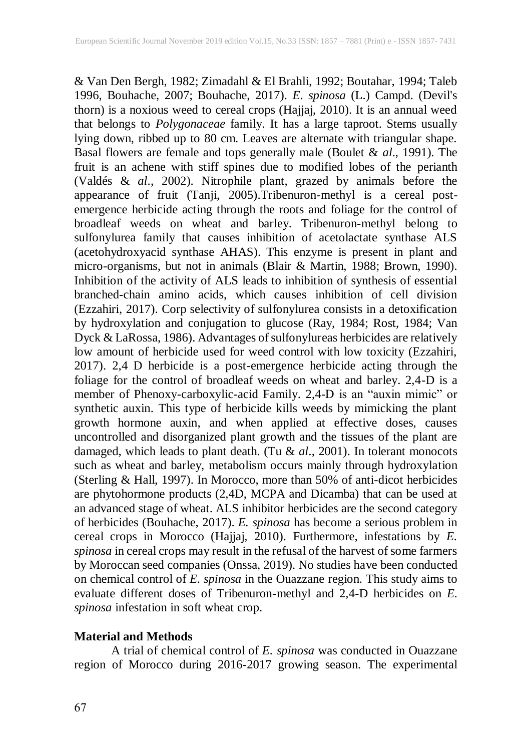& Van Den Bergh, 1982; Zimadahl & El Brahli, 1992; Boutahar, 1994; Taleb 1996, Bouhache, 2007; Bouhache, 2017). *E. spinosa* (L.) Campd. (Devil's thorn) is a noxious weed to cereal crops (Hajjaj, 2010). It is an annual weed that belongs to *Polygonaceae* family. It has a large taproot. Stems usually lying down, ribbed up to 80 cm. Leaves are alternate with triangular shape. Basal flowers are female and tops generally male (Boulet & *al*., 1991). The fruit is an achene with stiff spines due to modified lobes of the perianth (Valdés & *al*., 2002). Nitrophile plant, grazed by animals before the appearance of fruit (Tanji, 2005).Tribenuron-methyl is a cereal postemergence herbicide acting through the roots and foliage for the control of broadleaf weeds on wheat and barley. Tribenuron-methyl belong to sulfonylurea family that causes inhibition of acetolactate synthase ALS (acetohydroxyacid synthase AHAS). This enzyme is present in plant and micro-organisms, but not in animals (Blair & Martin, 1988; Brown, 1990). Inhibition of the activity of ALS leads to inhibition of synthesis of essential branched-chain amino acids, which causes inhibition of cell division (Ezzahiri, 2017). Corp selectivity of sulfonylurea consists in a detoxification by hydroxylation and conjugation to glucose (Ray, 1984; Rost, 1984; Van Dyck & LaRossa, 1986). Advantages of sulfonylureas herbicides are relatively low amount of herbicide used for weed control with low toxicity (Ezzahiri, 2017). 2,4 D herbicide is a post-emergence herbicide acting through the foliage for the control of broadleaf weeds on wheat and barley. 2,4-D is a member of Phenoxy-carboxylic-acid Family. 2,4-D is an "auxin mimic" or synthetic auxin. This type of herbicide kills weeds by mimicking the plant growth hormone auxin, and when applied at effective doses, causes uncontrolled and disorganized plant growth and the tissues of the plant are damaged, which leads to plant death. (Tu & *al*., 2001). In tolerant monocots such as wheat and barley, metabolism occurs mainly through hydroxylation (Sterling & Hall, 1997). In Morocco, more than 50% of anti-dicot herbicides are phytohormone products (2,4D, MCPA and Dicamba) that can be used at an advanced stage of wheat. ALS inhibitor herbicides are the second category of herbicides (Bouhache, 2017). *E. spinosa* has become a serious problem in cereal crops in Morocco (Hajjaj, 2010). Furthermore, infestations by *E.* spinosa in cereal crops may result in the refusal of the harvest of some farmers by Moroccan seed companies (Onssa, 2019). No studies have been conducted on chemical control of *E. spinosa* in the Ouazzane region. This study aims to evaluate different doses of Tribenuron-methyl and 2,4-D herbicides on *E. spinosa* infestation in soft wheat crop.

### **Material and Methods**

A trial of chemical control of *E. spinosa* was conducted in Ouazzane region of Morocco during 2016-2017 growing season. The experimental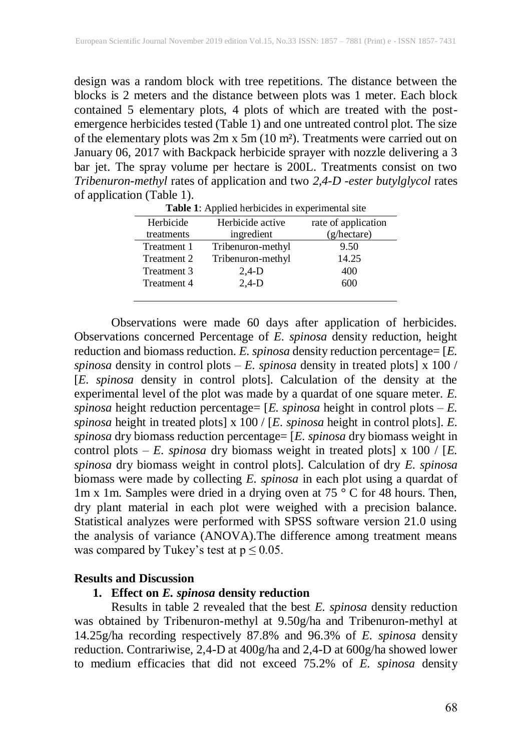design was a random block with tree repetitions. The distance between the blocks is 2 meters and the distance between plots was 1 meter. Each block contained 5 elementary plots, 4 plots of which are treated with the postemergence herbicides tested (Table 1) and one untreated control plot. The size of the elementary plots was 2m x 5m (10 m²). Treatments were carried out on January 06, 2017 with Backpack herbicide sprayer with nozzle delivering a 3 bar jet. The spray volume per hectare is 200L. Treatments consist on two *Tribenuron-methyl* rates of application and two *2,4-D -ester butylglycol* rates of application (Table 1).

| Herbicide   | Herbicide active  | rate of application  |
|-------------|-------------------|----------------------|
| treatments  | ingredient        | $(g/\text{hectare})$ |
| Treatment 1 | Tribenuron-methyl | 9.50                 |
| Treatment 2 | Tribenuron-methyl | 14.25                |
| Treatment 3 | $2,4-D$           | 400                  |
| Treatment 4 | $2,4-D$           | 600                  |
|             |                   |                      |

**Table 1**: Applied herbicides in experimental site

Observations were made 60 days after application of herbicides. Observations concerned Percentage of *E. spinosa* density reduction, height reduction and biomass reduction. *E. spinosa* density reduction percentage= [*E. spinosa* density in control plots – *E. spinosa* density in treated plots] x 100 / [*E. spinosa* density in control plots]. Calculation of the density at the experimental level of the plot was made by a quardat of one square meter. *E. spinosa* height reduction percentage= [*E. spinosa* height in control plots – *E. spinosa* height in treated plots] x 100 / [*E. spinosa* height in control plots]. *E. spinosa* dry biomass reduction percentage= [*E. spinosa* dry biomass weight in control plots  $-E$ . *spinosa* dry biomass weight in treated plots] x 100 / [E. *spinosa* dry biomass weight in control plots]. Calculation of dry *E. spinosa* biomass were made by collecting *E. spinosa* in each plot using a quardat of 1m x 1m. Samples were dried in a drying oven at 75 ° C for 48 hours. Then, dry plant material in each plot were weighed with a precision balance. Statistical analyzes were performed with SPSS software version 21.0 using the analysis of variance (ANOVA).The difference among treatment means was compared by Tukey's test at  $p \leq 0.05$ .

#### **Results and Discussion**

### **1. Effect on** *E. spinosa* **density reduction**

Results in table 2 revealed that the best *E. spinosa* density reduction was obtained by Tribenuron-methyl at 9.50g/ha and Tribenuron-methyl at 14.25g/ha recording respectively 87.8% and 96.3% of *E. spinosa* density reduction. Contrariwise, 2,4-D at 400g/ha and 2,4-D at 600g/ha showed lower to medium efficacies that did not exceed 75.2% of *E. spinosa* density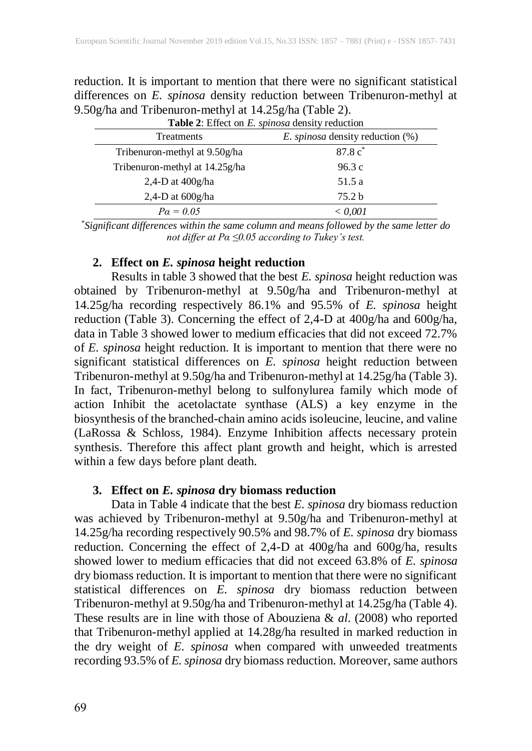reduction. It is important to mention that there were no significant statistical differences on *E. spinosa* density reduction between Tribenuron-methyl at 9.50g/ha and Tribenuron-methyl at 14.25g/ha (Table 2). **Table 2**: Effect on *E. spinosa* density reduction

| <b>Table 2.</b> Effect on E. <i>spinosa</i> density reduction |                                         |  |
|---------------------------------------------------------------|-----------------------------------------|--|
| Treatments                                                    | <i>E. spinosa</i> density reduction (%) |  |
| Tribenuron-methyl at 9.50g/ha                                 | $87.8c$ <sup>*</sup>                    |  |
| Tribenuron-methyl at 14.25g/ha                                | 96.3c                                   |  |
| 2,4-D at $400g/ha$                                            | 51.5 a                                  |  |
| 2,4-D at $600g/ha$                                            | 75.2 <sub>b</sub>                       |  |
| $Pa = 0.05$                                                   | < 0.001                                 |  |

*\*Significant differences within the same column and means followed by the same letter do not differ at Pα ≤0.05 according to Tukey's test.*

### **2. Effect on** *E. spinosa* **height reduction**

Results in table 3 showed that the best *E. spinosa* height reduction was obtained by Tribenuron-methyl at 9.50g/ha and Tribenuron-methyl at 14.25g/ha recording respectively 86.1% and 95.5% of *E. spinosa* height reduction (Table 3). Concerning the effect of 2,4-D at 400g/ha and 600g/ha, data in Table 3 showed lower to medium efficacies that did not exceed 72.7% of *E. spinosa* height reduction. It is important to mention that there were no significant statistical differences on *E. spinosa* height reduction between Tribenuron-methyl at 9.50g/ha and Tribenuron-methyl at 14.25g/ha (Table 3). In fact, Tribenuron-methyl belong to sulfonylurea family which mode of action Inhibit the acetolactate synthase (ALS) a key enzyme in the biosynthesis of the branched-chain amino acids isoleucine, leucine, and valine (LaRossa & Schloss, 1984). Enzyme Inhibition affects necessary protein synthesis. Therefore this affect plant growth and height, which is arrested within a few days before plant death.

### **3. Effect on** *E. spinosa* **dry biomass reduction**

Data in Table 4 indicate that the best *E. spinosa* dry biomass reduction was achieved by Tribenuron-methyl at 9.50g/ha and Tribenuron-methyl at 14.25g/ha recording respectively 90.5% and 98.7% of *E. spinosa* dry biomass reduction. Concerning the effect of 2,4-D at 400g/ha and 600g/ha, results showed lower to medium efficacies that did not exceed 63.8% of *E. spinosa* dry biomass reduction. It is important to mention that there were no significant statistical differences on *E. spinosa* dry biomass reduction between Tribenuron-methyl at 9.50g/ha and Tribenuron-methyl at 14.25g/ha (Table 4). These results are in line with those of Abouziena & *al*. (2008) who reported that Tribenuron-methyl applied at 14.28g/ha resulted in marked reduction in the dry weight of *E. spinosa* when compared with unweeded treatments recording 93.5% of *E. spinosa* dry biomass reduction. Moreover, same authors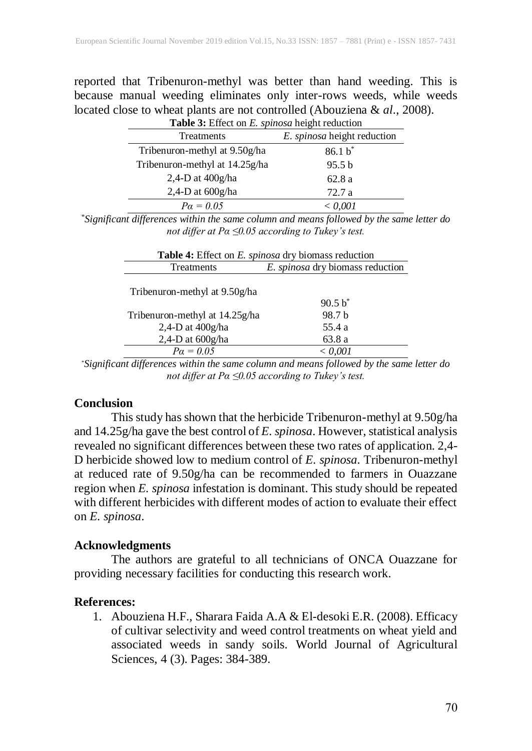reported that Tribenuron-methyl was better than hand weeding. This is because manual weeding eliminates only inter-rows weeds, while weeds located close to wheat plants are not controlled (Abouziena & *al*., 2008).

| Table 3: Effect on E. spinosa height reduction |                             |  |
|------------------------------------------------|-----------------------------|--|
| Treatments                                     | E. spinosa height reduction |  |
| Tribenuron-methyl at 9.50g/ha                  | $86.1 b^*$                  |  |
| Tribenuron-methyl at 14.25g/ha                 | 95.5 <sub>b</sub>           |  |
| $2,4$ -D at $400$ g/ha                         | 62.8a                       |  |
| 2,4-D at $600g/ha$                             | 72.7a                       |  |
| $Pa = 0.05$                                    | < 0.001                     |  |

*\*Significant differences within the same column and means followed by the same letter do not differ at Pα ≤0.05 according to Tukey's test.*

| <b>Table 4:</b> Effect on <i>E. spinosa</i> dry biomass reduction |                                  |  |  |
|-------------------------------------------------------------------|----------------------------------|--|--|
| Treatments                                                        | E. spinosa dry biomass reduction |  |  |
| Tribenuron-methyl at 9.50g/ha                                     |                                  |  |  |
|                                                                   | $90.5 h^*$                       |  |  |
| Tribenuron-methyl at 14.25g/ha                                    | 98.7 h                           |  |  |
| 2,4-D at $400g/ha$                                                | 55.4 a                           |  |  |
| 2,4-D at $600g/ha$                                                | 63.8 a                           |  |  |
| $Pa = 0.05$                                                       | < 0.001                          |  |  |

*\*Significant differences within the same column and means followed by the same letter do not differ at Pα ≤0.05 according to Tukey's test.*

### **Conclusion**

This study has shown that the herbicide Tribenuron-methyl at 9.50g/ha and 14.25g/ha gave the best control of *E. spinosa*. However, statistical analysis revealed no significant differences between these two rates of application. 2,4- D herbicide showed low to medium control of *E. spinosa*. Tribenuron-methyl at reduced rate of 9.50g/ha can be recommended to farmers in Ouazzane region when *E. spinosa* infestation is dominant. This study should be repeated with different herbicides with different modes of action to evaluate their effect on *E. spinosa*.

### **Acknowledgments**

The authors are grateful to all technicians of ONCA Ouazzane for providing necessary facilities for conducting this research work.

### **References:**

1. Abouziena H.F., Sharara Faida A.A & El-desoki E.R. (2008). Efficacy of cultivar selectivity and weed control treatments on wheat yield and associated weeds in sandy soils. World Journal of Agricultural Sciences, 4 (3). Pages: 384-389.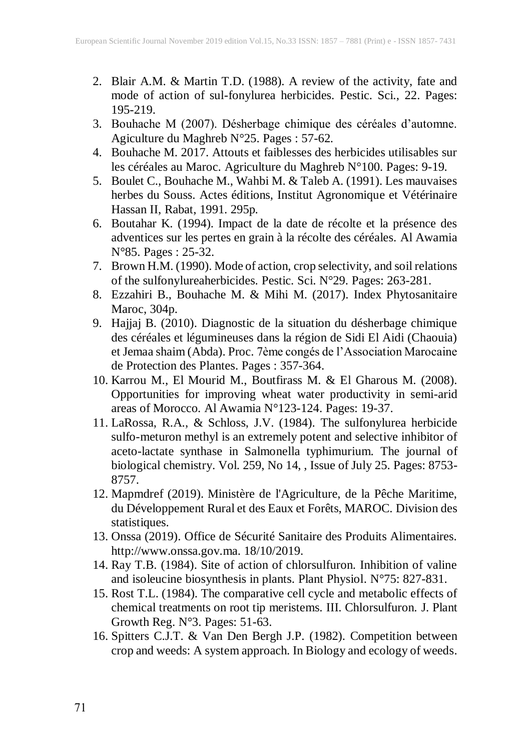- 2. Blair A.M. & Martin T.D. (1988). A review of the activity, fate and mode of action of sul-fonylurea herbicides. Pestic. Sci., 22. Pages: 195-219.
- 3. Bouhache M (2007). Désherbage chimique des céréales d'automne. Agiculture du Maghreb N°25. Pages : 57-62.
- 4. Bouhache M. 2017. Attouts et faiblesses des herbicides utilisables sur les céréales au Maroc. Agriculture du Maghreb N°100. Pages: 9-19.
- 5. Boulet C., Bouhache M., Wahbi M. & Taleb A. (1991). Les mauvaises herbes du Souss. Actes éditions, Institut Agronomique et Vétérinaire Hassan II, Rabat, 1991. 295p.
- 6. Boutahar K. (1994). Impact de la date de récolte et la présence des adventices sur les pertes en grain à la récolte des céréales. Al Awamia N°85. Pages : 25-32.
- 7. Brown H.M. (1990). Mode of action, crop selectivity, and soil relations of the sulfonylureaherbicides. Pestic. Sci. N°29. Pages: 263-281.
- 8. Ezzahiri B., Bouhache M. & Mihi M. (2017). Index Phytosanitaire Maroc, 304p.
- 9. Hajjaj B. (2010). Diagnostic de la situation du désherbage chimique des céréales et légumineuses dans la région de Sidi El Aidi (Chaouia) et Jemaa shaim (Abda). Proc. 7ème congés de l'Association Marocaine de Protection des Plantes. Pages : 357-364.
- 10. Karrou M., El Mourid M., Boutfirass M. & El Gharous M. (2008). Opportunities for improving wheat water productivity in semi-arid areas of Morocco. Al Awamia N°123-124. Pages: 19-37.
- 11. LaRossa, R.A., & Schloss, J.V. (1984). The sulfonylurea herbicide sulfo-meturon methyl is an extremely potent and selective inhibitor of aceto-lactate synthase in Salmonella typhimurium. The journal of biological chemistry. Vol. 259, No 14, , Issue of July 25. Pages: 8753- 8757.
- 12. Mapmdref (2019). Ministère de l'Agriculture, de la Pêche Maritime, du Développement Rural et des Eaux et Forêts, MAROC. Division des statistiques.
- 13. Onssa (2019). Office de Sécurité Sanitaire des Produits Alimentaires. http://www.onssa.gov.ma. 18/10/2019.
- 14. Ray T.B. (1984). Site of action of chlorsulfuron. Inhibition of valine and isoleucine biosynthesis in plants. Plant Physiol. N°75: 827-831.
- 15. Rost T.L. (1984). The comparative cell cycle and metabolic effects of chemical treatments on root tip meristems. III. Chlorsulfuron. J. Plant Growth Reg. N°3. Pages: 51-63.
- 16. Spitters C.J.T. & Van Den Bergh J.P. (1982). Competition between crop and weeds: A system approach. In Biology and ecology of weeds.